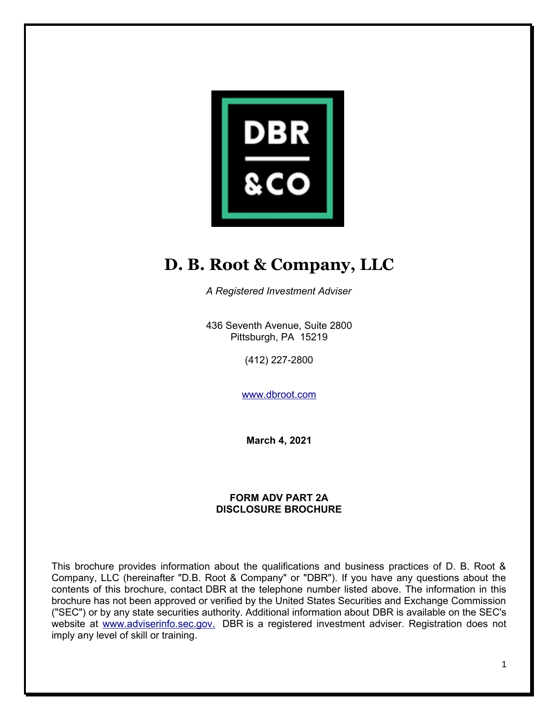

# **D. B. Root & Company, LLC**

*A Registered Investment Adviser*

436 Seventh Avenue, Suite 2800 Pittsburgh, PA 15219

(412) 227-2800

www.dbroot.com

**March 4, 2021**

#### **FORM ADV PART 2A DISCLOSURE BROCHURE**

This brochure provides information about the qualifications and business practices of D. B. Root & Company, LLC (hereinafter "D.B. Root & Company" or "DBR"). If you have any questions about the contents of this brochure, contact DBR at the telephone number listed above. The information in this brochure has not been approved or verified by the United States Securities and Exchange Commission ("SEC") or by any state securities authority. Additional information about DBR is available on the SEC's website at www.adviserinfo.sec.gov. DBR is a registered investment adviser. Registration does not imply any level of skill or training.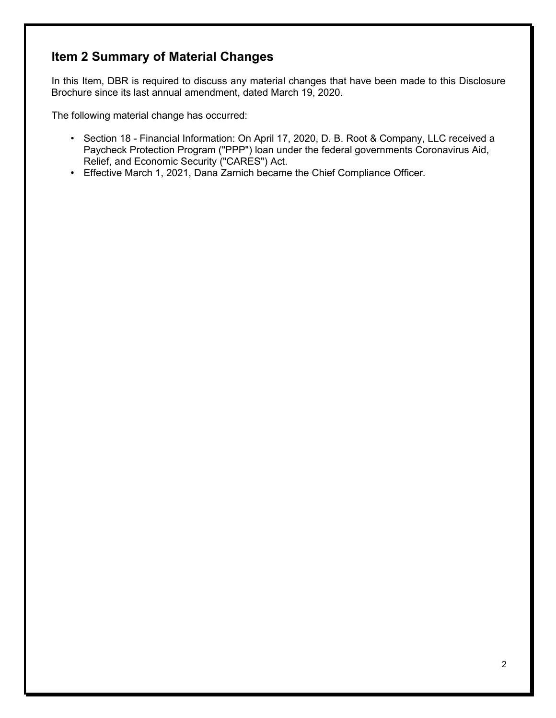# **Item 2 Summary of Material Changes**

In this Item, DBR is required to discuss any material changes that have been made to this Disclosure Brochure since its last annual amendment, dated March 19, 2020.

The following material change has occurred:

- Section 18 Financial Information: On April 17, 2020, D. B. Root & Company, LLC received a Paycheck Protection Program ("PPP") loan under the federal governments Coronavirus Aid, Relief, and Economic Security ("CARES") Act.
- Effective March 1, 2021, Dana Zarnich became the Chief Compliance Officer.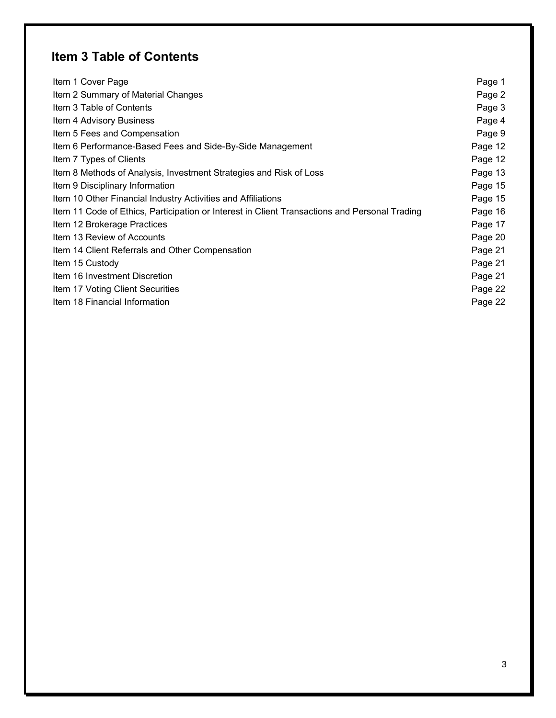# **Item 3 Table of Contents**

| Item 1 Cover Page                                                                             | Page 1  |
|-----------------------------------------------------------------------------------------------|---------|
| Item 2 Summary of Material Changes                                                            | Page 2  |
| Item 3 Table of Contents                                                                      | Page 3  |
| Item 4 Advisory Business                                                                      | Page 4  |
| Item 5 Fees and Compensation                                                                  | Page 9  |
| Item 6 Performance-Based Fees and Side-By-Side Management                                     | Page 12 |
| Item 7 Types of Clients                                                                       | Page 12 |
| Item 8 Methods of Analysis, Investment Strategies and Risk of Loss                            | Page 13 |
| Item 9 Disciplinary Information                                                               | Page 15 |
| Item 10 Other Financial Industry Activities and Affiliations                                  | Page 15 |
| Item 11 Code of Ethics, Participation or Interest in Client Transactions and Personal Trading | Page 16 |
| Item 12 Brokerage Practices                                                                   | Page 17 |
| Item 13 Review of Accounts                                                                    | Page 20 |
| Item 14 Client Referrals and Other Compensation                                               | Page 21 |
| Item 15 Custody                                                                               | Page 21 |
| Item 16 Investment Discretion                                                                 | Page 21 |
| Item 17 Voting Client Securities                                                              | Page 22 |
| Item 18 Financial Information                                                                 | Page 22 |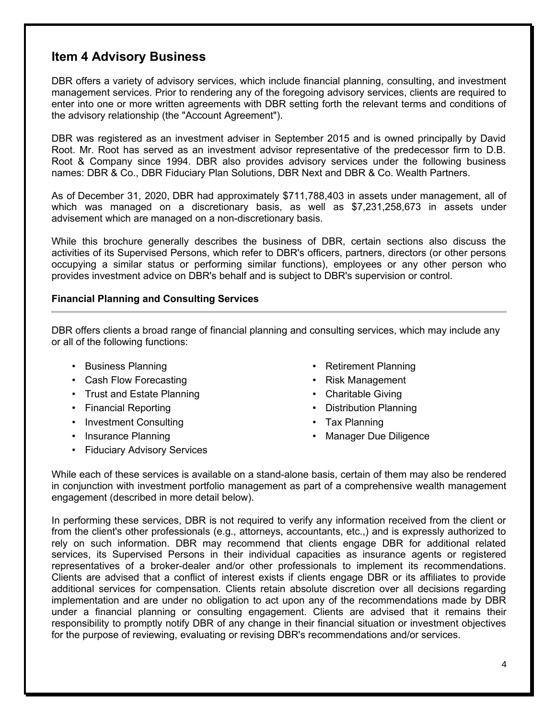# **Item 4 Advisory Business**

DBR offers a variety of advisory services, which include financial planning, consulting, and investment management services. Prior to rendering any of the foregoing advisory services, clients are required to enter into one or more written agreements with DBR setting forth the relevant terms and conditions of the advisory relationship (the "Account Agreement").

DBR was registered as an investment adviser in September 2015 and is owned principally by David Root. Mr. Root has served as an investment advisor representative of the predecessor firm to D.B. Root & Company since 1994. DBR also provides advisory services under the following business names: DBR & Co., DBR Fiduciary Plan Solutions, DBR Next and DBR & Co. Wealth Partners.

As of December 31, 2020, DBR had approximately \$711,788,403 in assets under management, all of which was managed on a discretionary basis, as well as \$7,231,258,673 in assets under advisement which are managed on a non-discretionary basis.

While this brochure generally describes the business of DBR, certain sections also discuss the activities of its Supervised Persons, which refer to DBR's officers, partners, directors (or other persons occupying a similar status or performing similar functions), employees or any other person who provides investment advice on DBR's behalf and is subject to DBR's supervision or control.

#### **Financial Planning and Consulting Services**

DBR offers clients a broad range of financial planning and consulting services, which may include any or all of the following functions:

- 
- Cash Flow Forecasting  **Risk Management**
- Trust and Estate Planning  **Charitable Giving**
- 
- Investment Consulting Tax Planning
- 
- Fiduciary Advisory Services
- Business Planning  **Retirement Planning** 
	-
	-
- Financial Reporting  **Distribution Planning** 
	-
- Insurance Planning  **Manager Due Diligence**

While each of these services is available on a stand-alone basis, certain of them may also be rendered in conjunction with investment portfolio management as part of a comprehensive wealth management engagement (described in more detail below).

In performing these services, DBR is not required to verify any information received from the client or from the client's other professionals (e.g., attorneys, accountants, etc.,) and is expressly authorized to rely on such information. DBR may recommend that clients engage DBR for additional related services, its Supervised Persons in their individual capacities as insurance agents or registered representatives of a broker-dealer and/or other professionals to implement its recommendations. Clients are advised that a conflict of interest exists if clients engage DBR or its affiliates to provide additional services for compensation. Clients retain absolute discretion over all decisions regarding implementation and are under no obligation to act upon any of the recommendations made by DBR under a financial planning or consulting engagement. Clients are advised that it remains their responsibility to promptly notify DBR of any change in their financial situation or investment objectives for the purpose of reviewing, evaluating or revising DBR's recommendations and/or services.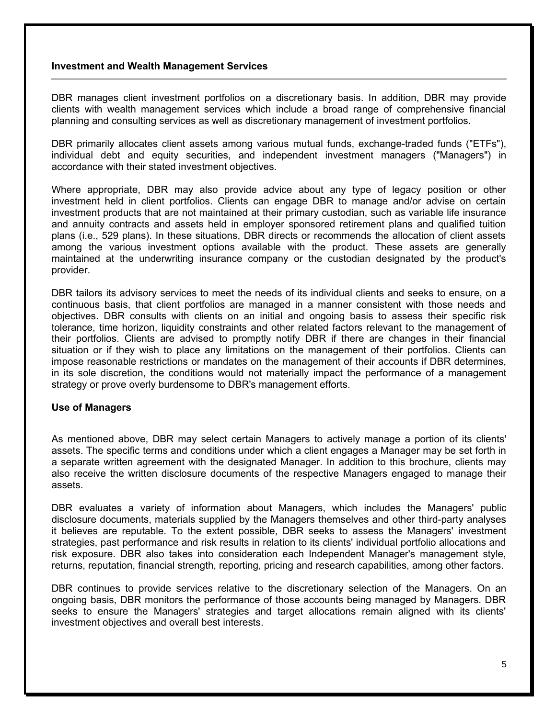#### **Investment and Wealth Management Services**

DBR manages client investment portfolios on a discretionary basis. In addition, DBR may provide clients with wealth management services which include a broad range of comprehensive financial planning and consulting services as well as discretionary management of investment portfolios.

DBR primarily allocates client assets among various mutual funds, exchange-traded funds ("ETFs"), individual debt and equity securities, and independent investment managers ("Managers") in accordance with their stated investment objectives.

Where appropriate, DBR may also provide advice about any type of legacy position or other investment held in client portfolios. Clients can engage DBR to manage and/or advise on certain investment products that are not maintained at their primary custodian, such as variable life insurance and annuity contracts and assets held in employer sponsored retirement plans and qualified tuition plans (i.e., 529 plans). In these situations, DBR directs or recommends the allocation of client assets among the various investment options available with the product. These assets are generally maintained at the underwriting insurance company or the custodian designated by the product's provider.

DBR tailors its advisory services to meet the needs of its individual clients and seeks to ensure, on a continuous basis, that client portfolios are managed in a manner consistent with those needs and objectives. DBR consults with clients on an initial and ongoing basis to assess their specific risk tolerance, time horizon, liquidity constraints and other related factors relevant to the management of their portfolios. Clients are advised to promptly notify DBR if there are changes in their financial situation or if they wish to place any limitations on the management of their portfolios. Clients can impose reasonable restrictions or mandates on the management of their accounts if DBR determines, in its sole discretion, the conditions would not materially impact the performance of a management strategy or prove overly burdensome to DBR's management efforts.

#### **Use of Managers**

As mentioned above, DBR may select certain Managers to actively manage a portion of its clients' assets. The specific terms and conditions under which a client engages a Manager may be set forth in a separate written agreement with the designated Manager. In addition to this brochure, clients may also receive the written disclosure documents of the respective Managers engaged to manage their assets.

DBR evaluates a variety of information about Managers, which includes the Managers' public disclosure documents, materials supplied by the Managers themselves and other third-party analyses it believes are reputable. To the extent possible, DBR seeks to assess the Managers' investment strategies, past performance and risk results in relation to its clients' individual portfolio allocations and risk exposure. DBR also takes into consideration each Independent Manager's management style, returns, reputation, financial strength, reporting, pricing and research capabilities, among other factors.

DBR continues to provide services relative to the discretionary selection of the Managers. On an ongoing basis, DBR monitors the performance of those accounts being managed by Managers. DBR seeks to ensure the Managers' strategies and target allocations remain aligned with its clients' investment objectives and overall best interests.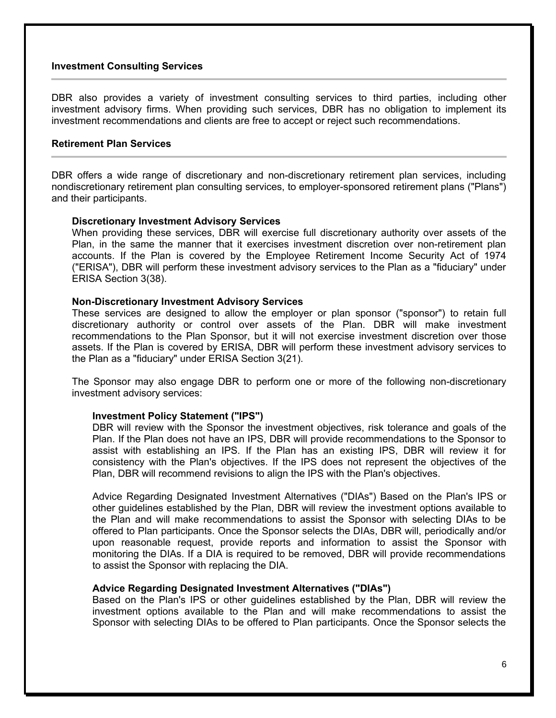#### **Investment Consulting Services**

DBR also provides a variety of investment consulting services to third parties, including other investment advisory firms. When providing such services, DBR has no obligation to implement its investment recommendations and clients are free to accept or reject such recommendations.

#### **Retirement Plan Services**

DBR offers a wide range of discretionary and non-discretionary retirement plan services, including nondiscretionary retirement plan consulting services, to employer-sponsored retirement plans ("Plans") and their participants.

#### **Discretionary Investment Advisory Services**

When providing these services, DBR will exercise full discretionary authority over assets of the Plan, in the same the manner that it exercises investment discretion over non-retirement plan accounts. If the Plan is covered by the Employee Retirement Income Security Act of 1974 ("ERISA"), DBR will perform these investment advisory services to the Plan as a "fiduciary" under ERISA Section 3(38).

#### **Non-Discretionary Investment Advisory Services**

These services are designed to allow the employer or plan sponsor ("sponsor") to retain full discretionary authority or control over assets of the Plan. DBR will make investment recommendations to the Plan Sponsor, but it will not exercise investment discretion over those assets. If the Plan is covered by ERISA, DBR will perform these investment advisory services to the Plan as a "fiduciary" under ERISA Section 3(21).

The Sponsor may also engage DBR to perform one or more of the following non-discretionary investment advisory services:

#### **Investment Policy Statement ("IPS")**

DBR will review with the Sponsor the investment objectives, risk tolerance and goals of the Plan. If the Plan does not have an IPS, DBR will provide recommendations to the Sponsor to assist with establishing an IPS. If the Plan has an existing IPS, DBR will review it for consistency with the Plan's objectives. If the IPS does not represent the objectives of the Plan, DBR will recommend revisions to align the IPS with the Plan's objectives.

Advice Regarding Designated Investment Alternatives ("DIAs") Based on the Plan's IPS or other guidelines established by the Plan, DBR will review the investment options available to the Plan and will make recommendations to assist the Sponsor with selecting DIAs to be offered to Plan participants. Once the Sponsor selects the DIAs, DBR will, periodically and/or upon reasonable request, provide reports and information to assist the Sponsor with monitoring the DIAs. If a DIA is required to be removed, DBR will provide recommendations to assist the Sponsor with replacing the DIA.

#### **Advice Regarding Designated Investment Alternatives ("DIAs")**

Based on the Plan's IPS or other guidelines established by the Plan, DBR will review the investment options available to the Plan and will make recommendations to assist the Sponsor with selecting DIAs to be offered to Plan participants. Once the Sponsor selects the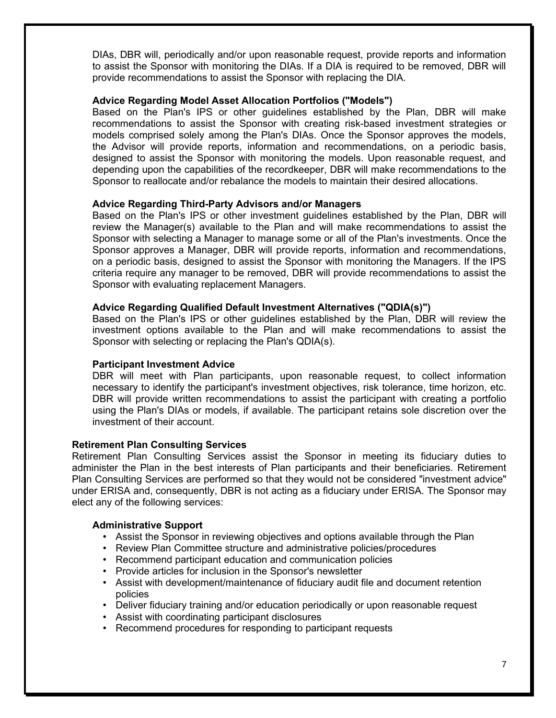DIAs, DBR will, periodically and/or upon reasonable request, provide reports and information to assist the Sponsor with monitoring the DIAs. If a DIA is required to be removed, DBR will provide recommendations to assist the Sponsor with replacing the DIA.

#### **Advice Regarding Model Asset Allocation Portfolios ("Models")**

Based on the Plan's IPS or other guidelines established by the Plan, DBR will make recommendations to assist the Sponsor with creating risk-based investment strategies or models comprised solely among the Plan's DIAs. Once the Sponsor approves the models, the Advisor will provide reports, information and recommendations, on a periodic basis, designed to assist the Sponsor with monitoring the models. Upon reasonable request, and depending upon the capabilities of the recordkeeper, DBR will make recommendations to the Sponsor to reallocate and/or rebalance the models to maintain their desired allocations.

#### **Advice Regarding Third-Party Advisors and/or Managers**

Based on the Plan's IPS or other investment guidelines established by the Plan, DBR will review the Manager(s) available to the Plan and will make recommendations to assist the Sponsor with selecting a Manager to manage some or all of the Plan's investments. Once the Sponsor approves a Manager, DBR will provide reports, information and recommendations, on a periodic basis, designed to assist the Sponsor with monitoring the Managers. If the IPS criteria require any manager to be removed, DBR will provide recommendations to assist the Sponsor with evaluating replacement Managers.

#### **Advice Regarding Qualified Default Investment Alternatives ("QDIA(s)")**

Based on the Plan's IPS or other guidelines established by the Plan, DBR will review the investment options available to the Plan and will make recommendations to assist the Sponsor with selecting or replacing the Plan's QDIA(s).

#### **Participant Investment Advice**

DBR will meet with Plan participants, upon reasonable request, to collect information necessary to identify the participant's investment objectives, risk tolerance, time horizon, etc. DBR will provide written recommendations to assist the participant with creating a portfolio using the Plan's DIAs or models, if available. The participant retains sole discretion over the investment of their account.

#### **Retirement Plan Consulting Services**

Retirement Plan Consulting Services assist the Sponsor in meeting its fiduciary duties to administer the Plan in the best interests of Plan participants and their beneficiaries. Retirement Plan Consulting Services are performed so that they would not be considered "investment advice" under ERISA and, consequently, DBR is not acting as a fiduciary under ERISA. The Sponsor may elect any of the following services:

#### **Administrative Support**

- Assist the Sponsor in reviewing objectives and options available through the Plan
- Review Plan Committee structure and administrative policies/procedures
- Recommend participant education and communication policies
- Provide articles for inclusion in the Sponsor's newsletter
- Assist with development/maintenance of fiduciary audit file and document retention policies
- Deliver fiduciary training and/or education periodically or upon reasonable request
- Assist with coordinating participant disclosures
- Recommend procedures for responding to participant requests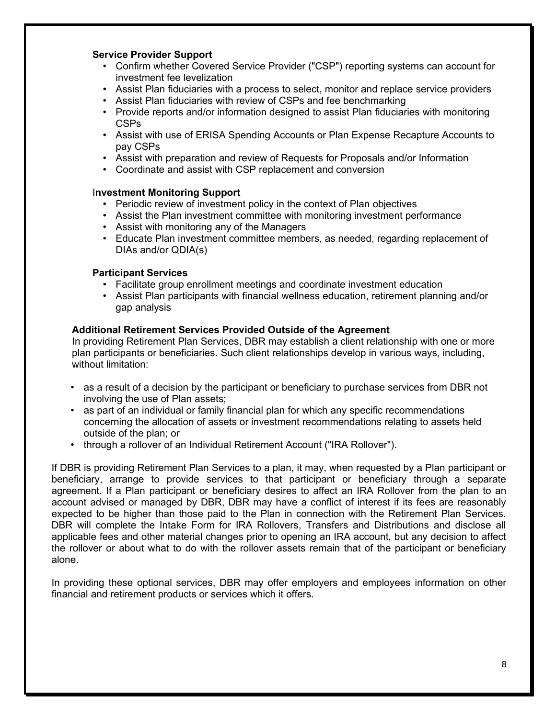#### **Service Provider Support**

- Confirm whether Covered Service Provider ("CSP") reporting systems can account for investment fee levelization
- Assist Plan fiduciaries with a process to select, monitor and replace service providers
- Assist Plan fiduciaries with review of CSPs and fee benchmarking
- Provide reports and/or information designed to assist Plan fiduciaries with monitoring CSPs
- Assist with use of ERISA Spending Accounts or Plan Expense Recapture Accounts to pay CSPs
- Assist with preparation and review of Requests for Proposals and/or Information
- Coordinate and assist with CSP replacement and conversion

#### I**nvestment Monitoring Support**

- Periodic review of investment policy in the context of Plan objectives
- Assist the Plan investment committee with monitoring investment performance
- Assist with monitoring any of the Managers
- Educate Plan investment committee members, as needed, regarding replacement of DIAs and/or QDIA(s)

#### **Participant Services**

- Facilitate group enrollment meetings and coordinate investment education
- Assist Plan participants with financial wellness education, retirement planning and/or gap analysis

#### **Additional Retirement Services Provided Outside of the Agreement**

In providing Retirement Plan Services, DBR may establish a client relationship with one or more plan participants or beneficiaries. Such client relationships develop in various ways, including, without limitation:

- as a result of a decision by the participant or beneficiary to purchase services from DBR not involving the use of Plan assets;
- as part of an individual or family financial plan for which any specific recommendations concerning the allocation of assets or investment recommendations relating to assets held outside of the plan; or
- through a rollover of an Individual Retirement Account ("IRA Rollover").

If DBR is providing Retirement Plan Services to a plan, it may, when requested by a Plan participant or beneficiary, arrange to provide services to that participant or beneficiary through a separate agreement. If a Plan participant or beneficiary desires to affect an IRA Rollover from the plan to an account advised or managed by DBR, DBR may have a conflict of interest if its fees are reasonably expected to be higher than those paid to the Plan in connection with the Retirement Plan Services. DBR will complete the Intake Form for IRA Rollovers, Transfers and Distributions and disclose all applicable fees and other material changes prior to opening an IRA account, but any decision to affect the rollover or about what to do with the rollover assets remain that of the participant or beneficiary alone.

In providing these optional services, DBR may offer employers and employees information on other financial and retirement products or services which it offers.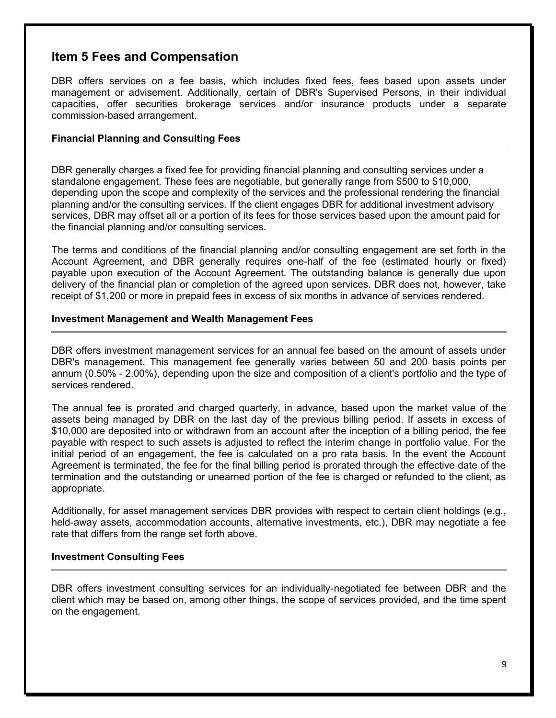### **Item 5 Fees and Compensation**

DBR offers services on a fee basis, which includes fixed fees, fees based upon assets under management or advisement. Additionally, certain of DBR's Supervised Persons, in their individual capacities, offer securities brokerage services and/or insurance products under a separate commission-based arrangement.

#### **Financial Planning and Consulting Fees**

DBR generally charges a fixed fee for providing financial planning and consulting services under a standalone engagement. These fees are negotiable, but generally range from \$500 to \$10,000, depending upon the scope and complexity of the services and the professional rendering the financial planning and/or the consulting services. If the client engages DBR for additional investment advisory services, DBR may offset all or a portion of its fees for those services based upon the amount paid for the financial planning and/or consulting services.

The terms and conditions of the financial planning and/or consulting engagement are set forth in the Account Agreement, and DBR generally requires one-half of the fee (estimated hourly or fixed) payable upon execution of the Account Agreement. The outstanding balance is generally due upon delivery of the financial plan or completion of the agreed upon services. DBR does not, however, take receipt of \$1,200 or more in prepaid fees in excess of six months in advance of services rendered.

#### **Investment Management and Wealth Management Fees**

DBR offers investment management services for an annual fee based on the amount of assets under DBR's management. This management fee generally varies between 50 and 200 basis points per annum (0.50% - 2.00%), depending upon the size and composition of a client's portfolio and the type of services rendered.

The annual fee is prorated and charged quarterly, in advance, based upon the market value of the assets being managed by DBR on the last day of the previous billing period. If assets in excess of \$10,000 are deposited into or withdrawn from an account after the inception of a billing period, the fee payable with respect to such assets is adjusted to reflect the interim change in portfolio value. For the initial period of an engagement, the fee is calculated on a pro rata basis. In the event the Account Agreement is terminated, the fee for the final billing period is prorated through the effective date of the termination and the outstanding or unearned portion of the fee is charged or refunded to the client, as appropriate.

Additionally, for asset management services DBR provides with respect to certain client holdings (e.g., held-away assets, accommodation accounts, alternative investments, etc.), DBR may negotiate a fee rate that differs from the range set forth above.

#### **Investment Consulting Fees**

DBR offers investment consulting services for an individually-negotiated fee between DBR and the client which may be based on, among other things, the scope of services provided, and the time spent on the engagement.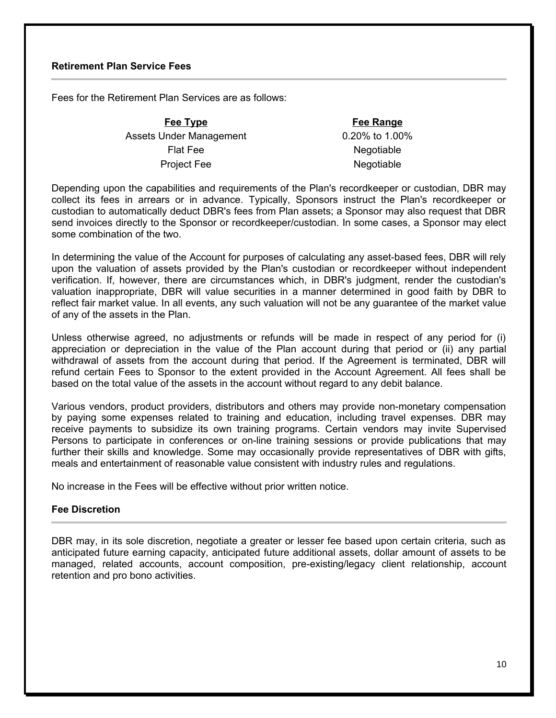#### **Retirement Plan Service Fees**

Fees for the Retirement Plan Services are as follows:

**Fee Type Fee Range** Assets Under Management 0.20% to 1.00% Flat Fee Negotiable Project Fee Negotiable

Depending upon the capabilities and requirements of the Plan's recordkeeper or custodian, DBR may collect its fees in arrears or in advance. Typically, Sponsors instruct the Plan's recordkeeper or custodian to automatically deduct DBR's fees from Plan assets; a Sponsor may also request that DBR send invoices directly to the Sponsor or recordkeeper/custodian. In some cases, a Sponsor may elect some combination of the two.

In determining the value of the Account for purposes of calculating any asset-based fees, DBR will rely upon the valuation of assets provided by the Plan's custodian or recordkeeper without independent verification. If, however, there are circumstances which, in DBR's judgment, render the custodian's valuation inappropriate, DBR will value securities in a manner determined in good faith by DBR to reflect fair market value. In all events, any such valuation will not be any guarantee of the market value of any of the assets in the Plan.

Unless otherwise agreed, no adjustments or refunds will be made in respect of any period for (i) appreciation or depreciation in the value of the Plan account during that period or (ii) any partial withdrawal of assets from the account during that period. If the Agreement is terminated, DBR will refund certain Fees to Sponsor to the extent provided in the Account Agreement. All fees shall be based on the total value of the assets in the account without regard to any debit balance.

Various vendors, product providers, distributors and others may provide non-monetary compensation by paying some expenses related to training and education, including travel expenses. DBR may receive payments to subsidize its own training programs. Certain vendors may invite Supervised Persons to participate in conferences or on-line training sessions or provide publications that may further their skills and knowledge. Some may occasionally provide representatives of DBR with gifts, meals and entertainment of reasonable value consistent with industry rules and regulations.

No increase in the Fees will be effective without prior written notice.

#### **Fee Discretion**

DBR may, in its sole discretion, negotiate a greater or lesser fee based upon certain criteria, such as anticipated future earning capacity, anticipated future additional assets, dollar amount of assets to be managed, related accounts, account composition, pre-existing/legacy client relationship, account retention and pro bono activities.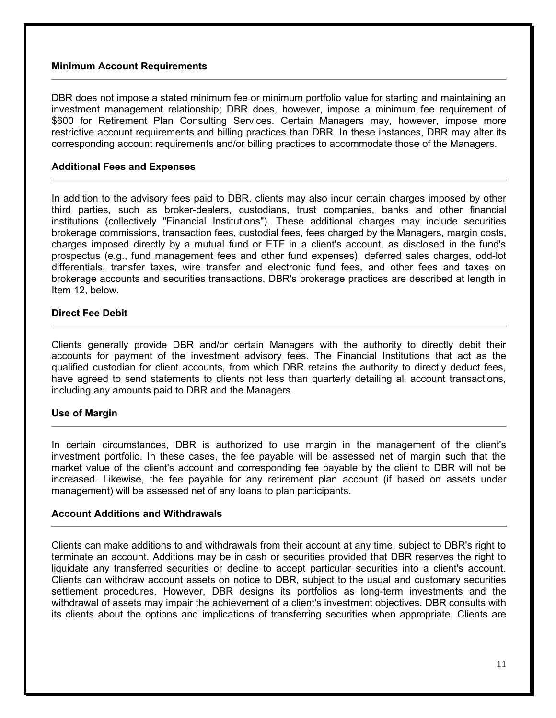#### **Minimum Account Requirements**

DBR does not impose a stated minimum fee or minimum portfolio value for starting and maintaining an investment management relationship; DBR does, however, impose a minimum fee requirement of \$600 for Retirement Plan Consulting Services. Certain Managers may, however, impose more restrictive account requirements and billing practices than DBR. In these instances, DBR may alter its corresponding account requirements and/or billing practices to accommodate those of the Managers.

#### **Additional Fees and Expenses**

In addition to the advisory fees paid to DBR, clients may also incur certain charges imposed by other third parties, such as broker-dealers, custodians, trust companies, banks and other financial institutions (collectively "Financial Institutions"). These additional charges may include securities brokerage commissions, transaction fees, custodial fees, fees charged by the Managers, margin costs, charges imposed directly by a mutual fund or ETF in a client's account, as disclosed in the fund's prospectus (e.g., fund management fees and other fund expenses), deferred sales charges, odd-lot differentials, transfer taxes, wire transfer and electronic fund fees, and other fees and taxes on brokerage accounts and securities transactions. DBR's brokerage practices are described at length in Item 12, below.

#### **Direct Fee Debit**

Clients generally provide DBR and/or certain Managers with the authority to directly debit their accounts for payment of the investment advisory fees. The Financial Institutions that act as the qualified custodian for client accounts, from which DBR retains the authority to directly deduct fees, have agreed to send statements to clients not less than quarterly detailing all account transactions, including any amounts paid to DBR and the Managers.

#### **Use of Margin**

In certain circumstances, DBR is authorized to use margin in the management of the client's investment portfolio. In these cases, the fee payable will be assessed net of margin such that the market value of the client's account and corresponding fee payable by the client to DBR will not be increased. Likewise, the fee payable for any retirement plan account (if based on assets under management) will be assessed net of any loans to plan participants.

#### **Account Additions and Withdrawals**

Clients can make additions to and withdrawals from their account at any time, subject to DBR's right to terminate an account. Additions may be in cash or securities provided that DBR reserves the right to liquidate any transferred securities or decline to accept particular securities into a client's account. Clients can withdraw account assets on notice to DBR, subject to the usual and customary securities settlement procedures. However, DBR designs its portfolios as long-term investments and the withdrawal of assets may impair the achievement of a client's investment objectives. DBR consults with its clients about the options and implications of transferring securities when appropriate. Clients are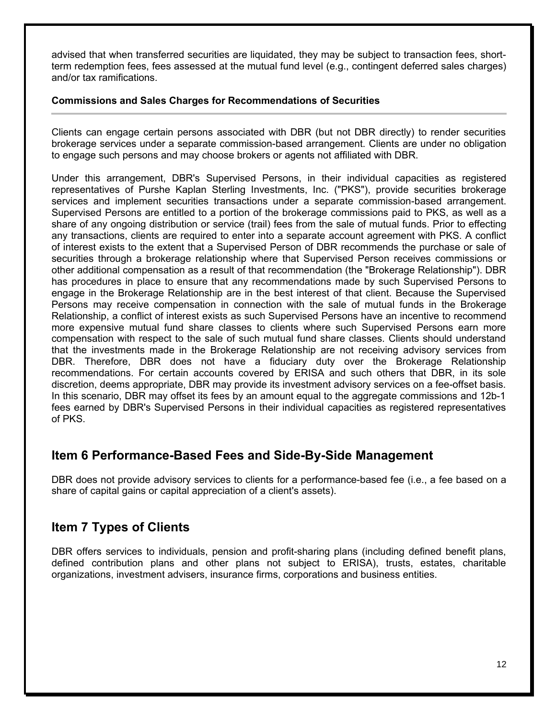advised that when transferred securities are liquidated, they may be subject to transaction fees, shortterm redemption fees, fees assessed at the mutual fund level (e.g., contingent deferred sales charges) and/or tax ramifications.

#### **Commissions and Sales Charges for Recommendations of Securities**

Clients can engage certain persons associated with DBR (but not DBR directly) to render securities brokerage services under a separate commission-based arrangement. Clients are under no obligation to engage such persons and may choose brokers or agents not affiliated with DBR.

Under this arrangement, DBR's Supervised Persons, in their individual capacities as registered representatives of Purshe Kaplan Sterling Investments, Inc. ("PKS"), provide securities brokerage services and implement securities transactions under a separate commission-based arrangement. Supervised Persons are entitled to a portion of the brokerage commissions paid to PKS, as well as a share of any ongoing distribution or service (trail) fees from the sale of mutual funds. Prior to effecting any transactions, clients are required to enter into a separate account agreement with PKS. A conflict of interest exists to the extent that a Supervised Person of DBR recommends the purchase or sale of securities through a brokerage relationship where that Supervised Person receives commissions or other additional compensation as a result of that recommendation (the "Brokerage Relationship"). DBR has procedures in place to ensure that any recommendations made by such Supervised Persons to engage in the Brokerage Relationship are in the best interest of that client. Because the Supervised Persons may receive compensation in connection with the sale of mutual funds in the Brokerage Relationship, a conflict of interest exists as such Supervised Persons have an incentive to recommend more expensive mutual fund share classes to clients where such Supervised Persons earn more compensation with respect to the sale of such mutual fund share classes. Clients should understand that the investments made in the Brokerage Relationship are not receiving advisory services from DBR. Therefore, DBR does not have a fiduciary duty over the Brokerage Relationship recommendations. For certain accounts covered by ERISA and such others that DBR, in its sole discretion, deems appropriate, DBR may provide its investment advisory services on a fee-offset basis. In this scenario, DBR may offset its fees by an amount equal to the aggregate commissions and 12b-1 fees earned by DBR's Supervised Persons in their individual capacities as registered representatives of PKS.

# **Item 6 Performance-Based Fees and Side-By-Side Management**

DBR does not provide advisory services to clients for a performance-based fee (i.e., a fee based on a share of capital gains or capital appreciation of a client's assets).

# **Item 7 Types of Clients**

DBR offers services to individuals, pension and profit-sharing plans (including defined benefit plans, defined contribution plans and other plans not subject to ERISA), trusts, estates, charitable organizations, investment advisers, insurance firms, corporations and business entities.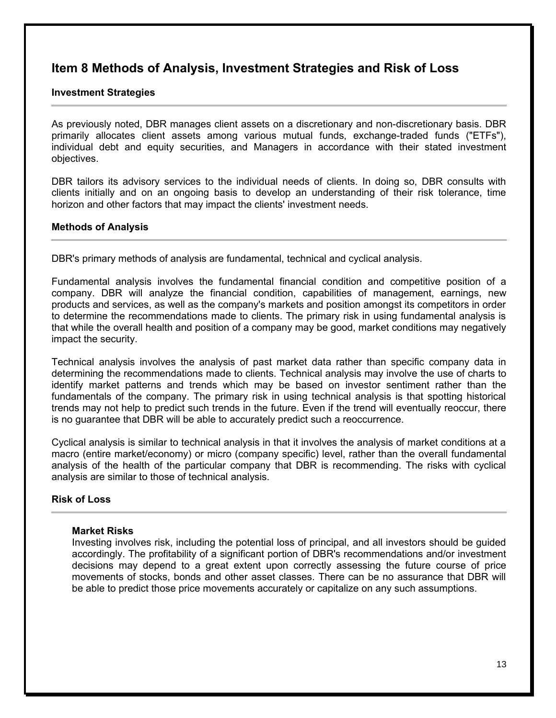# **Item 8 Methods of Analysis, Investment Strategies and Risk of Loss**

#### **Investment Strategies**

As previously noted, DBR manages client assets on a discretionary and non-discretionary basis. DBR primarily allocates client assets among various mutual funds, exchange-traded funds ("ETFs"), individual debt and equity securities, and Managers in accordance with their stated investment objectives.

DBR tailors its advisory services to the individual needs of clients. In doing so, DBR consults with clients initially and on an ongoing basis to develop an understanding of their risk tolerance, time horizon and other factors that may impact the clients' investment needs.

#### **Methods of Analysis**

DBR's primary methods of analysis are fundamental, technical and cyclical analysis.

Fundamental analysis involves the fundamental financial condition and competitive position of a company. DBR will analyze the financial condition, capabilities of management, earnings, new products and services, as well as the company's markets and position amongst its competitors in order to determine the recommendations made to clients. The primary risk in using fundamental analysis is that while the overall health and position of a company may be good, market conditions may negatively impact the security.

Technical analysis involves the analysis of past market data rather than specific company data in determining the recommendations made to clients. Technical analysis may involve the use of charts to identify market patterns and trends which may be based on investor sentiment rather than the fundamentals of the company. The primary risk in using technical analysis is that spotting historical trends may not help to predict such trends in the future. Even if the trend will eventually reoccur, there is no guarantee that DBR will be able to accurately predict such a reoccurrence.

Cyclical analysis is similar to technical analysis in that it involves the analysis of market conditions at a macro (entire market/economy) or micro (company specific) level, rather than the overall fundamental analysis of the health of the particular company that DBR is recommending. The risks with cyclical analysis are similar to those of technical analysis.

#### **Risk of Loss**

#### **Market Risks**

Investing involves risk, including the potential loss of principal, and all investors should be guided accordingly. The profitability of a significant portion of DBR's recommendations and/or investment decisions may depend to a great extent upon correctly assessing the future course of price movements of stocks, bonds and other asset classes. There can be no assurance that DBR will be able to predict those price movements accurately or capitalize on any such assumptions.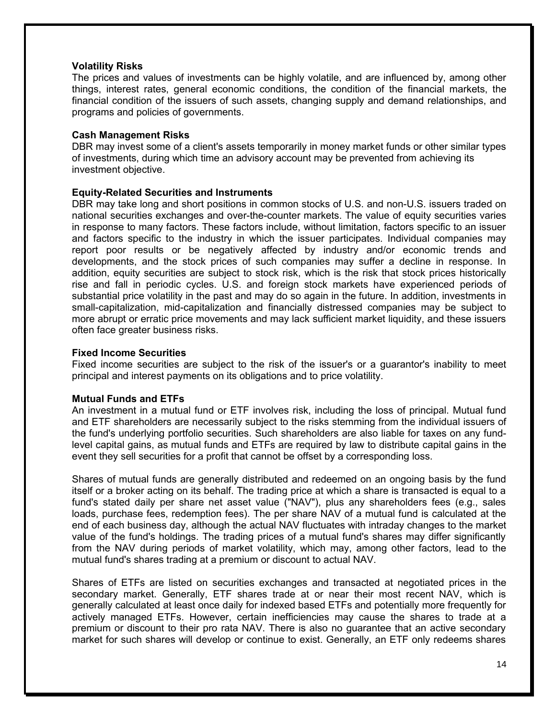#### **Volatility Risks**

The prices and values of investments can be highly volatile, and are influenced by, among other things, interest rates, general economic conditions, the condition of the financial markets, the financial condition of the issuers of such assets, changing supply and demand relationships, and programs and policies of governments.

#### **Cash Management Risks**

DBR may invest some of a client's assets temporarily in money market funds or other similar types of investments, during which time an advisory account may be prevented from achieving its investment objective.

#### **Equity-Related Securities and Instruments**

DBR may take long and short positions in common stocks of U.S. and non-U.S. issuers traded on national securities exchanges and over-the-counter markets. The value of equity securities varies in response to many factors. These factors include, without limitation, factors specific to an issuer and factors specific to the industry in which the issuer participates. Individual companies may report poor results or be negatively affected by industry and/or economic trends and developments, and the stock prices of such companies may suffer a decline in response. In addition, equity securities are subject to stock risk, which is the risk that stock prices historically rise and fall in periodic cycles. U.S. and foreign stock markets have experienced periods of substantial price volatility in the past and may do so again in the future. In addition, investments in small-capitalization, mid-capitalization and financially distressed companies may be subject to more abrupt or erratic price movements and may lack sufficient market liquidity, and these issuers often face greater business risks.

#### **Fixed Income Securities**

Fixed income securities are subject to the risk of the issuer's or a guarantor's inability to meet principal and interest payments on its obligations and to price volatility.

#### **Mutual Funds and ETFs**

An investment in a mutual fund or ETF involves risk, including the loss of principal. Mutual fund and ETF shareholders are necessarily subject to the risks stemming from the individual issuers of the fund's underlying portfolio securities. Such shareholders are also liable for taxes on any fundlevel capital gains, as mutual funds and ETFs are required by law to distribute capital gains in the event they sell securities for a profit that cannot be offset by a corresponding loss.

Shares of mutual funds are generally distributed and redeemed on an ongoing basis by the fund itself or a broker acting on its behalf. The trading price at which a share is transacted is equal to a fund's stated daily per share net asset value ("NAV"), plus any shareholders fees (e.g., sales loads, purchase fees, redemption fees). The per share NAV of a mutual fund is calculated at the end of each business day, although the actual NAV fluctuates with intraday changes to the market value of the fund's holdings. The trading prices of a mutual fund's shares may differ significantly from the NAV during periods of market volatility, which may, among other factors, lead to the mutual fund's shares trading at a premium or discount to actual NAV.

Shares of ETFs are listed on securities exchanges and transacted at negotiated prices in the secondary market. Generally, ETF shares trade at or near their most recent NAV, which is generally calculated at least once daily for indexed based ETFs and potentially more frequently for actively managed ETFs. However, certain inefficiencies may cause the shares to trade at a premium or discount to their pro rata NAV. There is also no guarantee that an active secondary market for such shares will develop or continue to exist. Generally, an ETF only redeems shares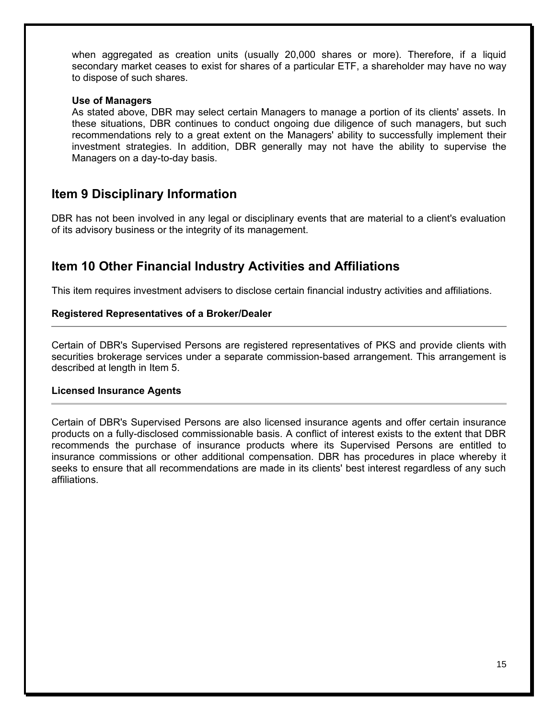when aggregated as creation units (usually 20,000 shares or more). Therefore, if a liquid secondary market ceases to exist for shares of a particular ETF, a shareholder may have no way to dispose of such shares.

#### **Use of Managers**

As stated above, DBR may select certain Managers to manage a portion of its clients' assets. In these situations, DBR continues to conduct ongoing due diligence of such managers, but such recommendations rely to a great extent on the Managers' ability to successfully implement their investment strategies. In addition, DBR generally may not have the ability to supervise the Managers on a day-to-day basis.

# **Item 9 Disciplinary Information**

DBR has not been involved in any legal or disciplinary events that are material to a client's evaluation of its advisory business or the integrity of its management.

# **Item 10 Other Financial Industry Activities and Affiliations**

This item requires investment advisers to disclose certain financial industry activities and affiliations.

#### **Registered Representatives of a Broker/Dealer**

Certain of DBR's Supervised Persons are registered representatives of PKS and provide clients with securities brokerage services under a separate commission-based arrangement. This arrangement is described at length in Item 5.

#### **Licensed Insurance Agents**

Certain of DBR's Supervised Persons are also licensed insurance agents and offer certain insurance products on a fully-disclosed commissionable basis. A conflict of interest exists to the extent that DBR recommends the purchase of insurance products where its Supervised Persons are entitled to insurance commissions or other additional compensation. DBR has procedures in place whereby it seeks to ensure that all recommendations are made in its clients' best interest regardless of any such affiliations.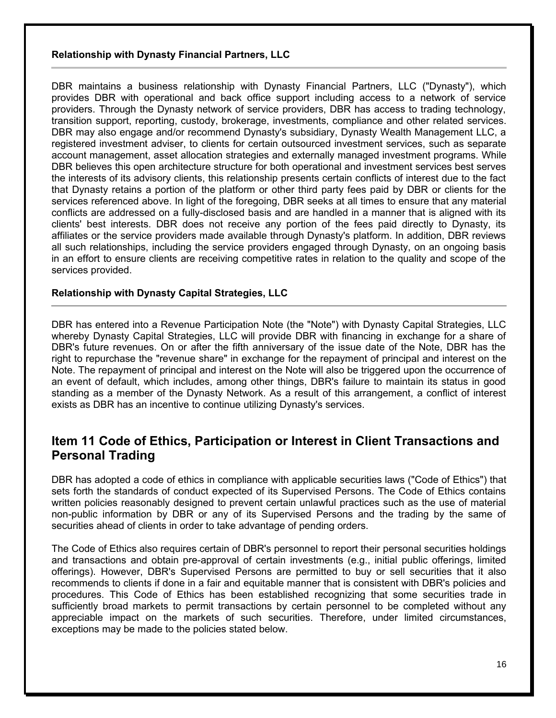#### **Relationship with Dynasty Financial Partners, LLC**

DBR maintains a business relationship with Dynasty Financial Partners, LLC ("Dynasty"), which provides DBR with operational and back office support including access to a network of service providers. Through the Dynasty network of service providers, DBR has access to trading technology, transition support, reporting, custody, brokerage, investments, compliance and other related services. DBR may also engage and/or recommend Dynasty's subsidiary, Dynasty Wealth Management LLC, a registered investment adviser, to clients for certain outsourced investment services, such as separate account management, asset allocation strategies and externally managed investment programs. While DBR believes this open architecture structure for both operational and investment services best serves the interests of its advisory clients, this relationship presents certain conflicts of interest due to the fact that Dynasty retains a portion of the platform or other third party fees paid by DBR or clients for the services referenced above. In light of the foregoing, DBR seeks at all times to ensure that any material conflicts are addressed on a fully-disclosed basis and are handled in a manner that is aligned with its clients' best interests. DBR does not receive any portion of the fees paid directly to Dynasty, its affiliates or the service providers made available through Dynasty's platform. In addition, DBR reviews all such relationships, including the service providers engaged through Dynasty, on an ongoing basis in an effort to ensure clients are receiving competitive rates in relation to the quality and scope of the services provided.

#### **Relationship with Dynasty Capital Strategies, LLC**

DBR has entered into a Revenue Participation Note (the "Note") with Dynasty Capital Strategies, LLC whereby Dynasty Capital Strategies, LLC will provide DBR with financing in exchange for a share of DBR's future revenues. On or after the fifth anniversary of the issue date of the Note, DBR has the right to repurchase the "revenue share" in exchange for the repayment of principal and interest on the Note. The repayment of principal and interest on the Note will also be triggered upon the occurrence of an event of default, which includes, among other things, DBR's failure to maintain its status in good standing as a member of the Dynasty Network. As a result of this arrangement, a conflict of interest exists as DBR has an incentive to continue utilizing Dynasty's services.

# **Item 11 Code of Ethics, Participation or Interest in Client Transactions and Personal Trading**

DBR has adopted a code of ethics in compliance with applicable securities laws ("Code of Ethics") that sets forth the standards of conduct expected of its Supervised Persons. The Code of Ethics contains written policies reasonably designed to prevent certain unlawful practices such as the use of material non-public information by DBR or any of its Supervised Persons and the trading by the same of securities ahead of clients in order to take advantage of pending orders.

The Code of Ethics also requires certain of DBR's personnel to report their personal securities holdings and transactions and obtain pre-approval of certain investments (e.g., initial public offerings, limited offerings). However, DBR's Supervised Persons are permitted to buy or sell securities that it also recommends to clients if done in a fair and equitable manner that is consistent with DBR's policies and procedures. This Code of Ethics has been established recognizing that some securities trade in sufficiently broad markets to permit transactions by certain personnel to be completed without any appreciable impact on the markets of such securities. Therefore, under limited circumstances, exceptions may be made to the policies stated below.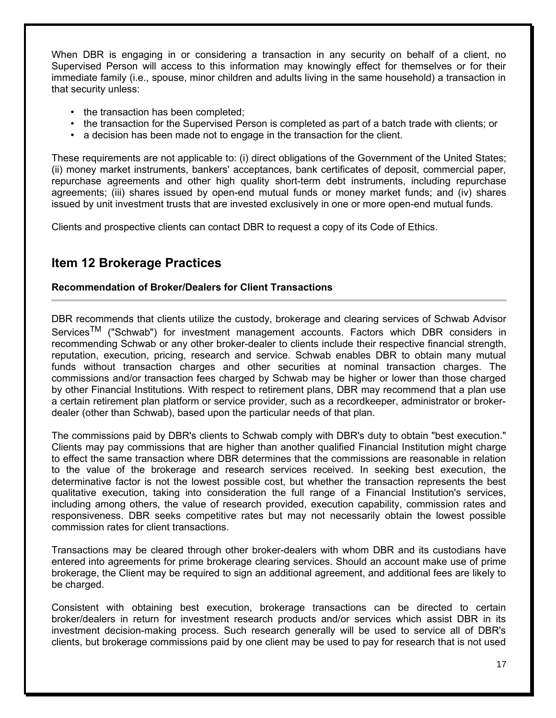When DBR is engaging in or considering a transaction in any security on behalf of a client, no Supervised Person will access to this information may knowingly effect for themselves or for their immediate family (i.e., spouse, minor children and adults living in the same household) a transaction in that security unless:

- the transaction has been completed:
- the transaction for the Supervised Person is completed as part of a batch trade with clients; or
- a decision has been made not to engage in the transaction for the client.

These requirements are not applicable to: (i) direct obligations of the Government of the United States; (ii) money market instruments, bankers' acceptances, bank certificates of deposit, commercial paper, repurchase agreements and other high quality short-term debt instruments, including repurchase agreements; (iii) shares issued by open-end mutual funds or money market funds; and (iv) shares issued by unit investment trusts that are invested exclusively in one or more open-end mutual funds.

Clients and prospective clients can contact DBR to request a copy of its Code of Ethics.

# **Item 12 Brokerage Practices**

#### **Recommendation of Broker/Dealers for Client Transactions**

DBR recommends that clients utilize the custody, brokerage and clearing services of Schwab Advisor Services<sup>TM</sup> ("Schwab") for investment management accounts. Factors which DBR considers in recommending Schwab or any other broker-dealer to clients include their respective financial strength, reputation, execution, pricing, research and service. Schwab enables DBR to obtain many mutual funds without transaction charges and other securities at nominal transaction charges. The commissions and/or transaction fees charged by Schwab may be higher or lower than those charged by other Financial Institutions. With respect to retirement plans, DBR may recommend that a plan use a certain retirement plan platform or service provider, such as a recordkeeper, administrator or brokerdealer (other than Schwab), based upon the particular needs of that plan.

The commissions paid by DBR's clients to Schwab comply with DBR's duty to obtain "best execution." Clients may pay commissions that are higher than another qualified Financial Institution might charge to effect the same transaction where DBR determines that the commissions are reasonable in relation to the value of the brokerage and research services received. In seeking best execution, the determinative factor is not the lowest possible cost, but whether the transaction represents the best qualitative execution, taking into consideration the full range of a Financial Institution's services, including among others, the value of research provided, execution capability, commission rates and responsiveness. DBR seeks competitive rates but may not necessarily obtain the lowest possible commission rates for client transactions.

Transactions may be cleared through other broker-dealers with whom DBR and its custodians have entered into agreements for prime brokerage clearing services. Should an account make use of prime brokerage, the Client may be required to sign an additional agreement, and additional fees are likely to be charged.

Consistent with obtaining best execution, brokerage transactions can be directed to certain broker/dealers in return for investment research products and/or services which assist DBR in its investment decision-making process. Such research generally will be used to service all of DBR's clients, but brokerage commissions paid by one client may be used to pay for research that is not used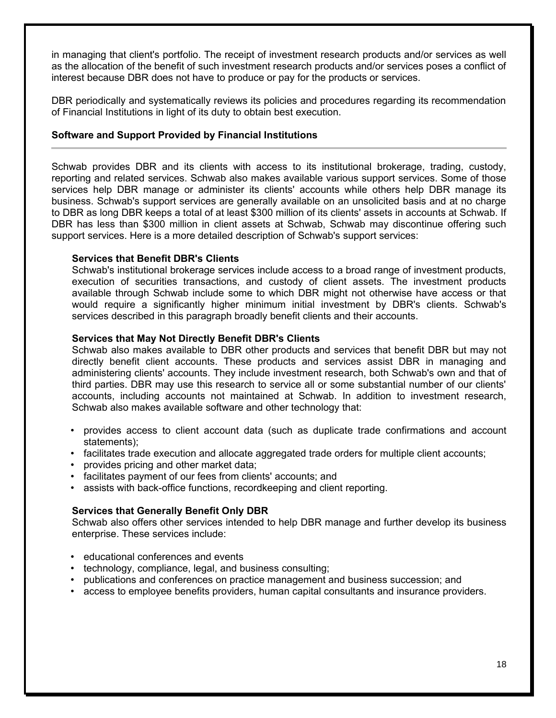in managing that client's portfolio. The receipt of investment research products and/or services as well as the allocation of the benefit of such investment research products and/or services poses a conflict of interest because DBR does not have to produce or pay for the products or services.

DBR periodically and systematically reviews its policies and procedures regarding its recommendation of Financial Institutions in light of its duty to obtain best execution.

#### **Software and Support Provided by Financial Institutions**

Schwab provides DBR and its clients with access to its institutional brokerage, trading, custody, reporting and related services. Schwab also makes available various support services. Some of those services help DBR manage or administer its clients' accounts while others help DBR manage its business. Schwab's support services are generally available on an unsolicited basis and at no charge to DBR as long DBR keeps a total of at least \$300 million of its clients' assets in accounts at Schwab. If DBR has less than \$300 million in client assets at Schwab, Schwab may discontinue offering such support services. Here is a more detailed description of Schwab's support services:

#### **Services that Benefit DBR's Clients**

Schwab's institutional brokerage services include access to a broad range of investment products, execution of securities transactions, and custody of client assets. The investment products available through Schwab include some to which DBR might not otherwise have access or that would require a significantly higher minimum initial investment by DBR's clients. Schwab's services described in this paragraph broadly benefit clients and their accounts.

#### **Services that May Not Directly Benefit DBR's Clients**

Schwab also makes available to DBR other products and services that benefit DBR but may not directly benefit client accounts. These products and services assist DBR in managing and administering clients' accounts. They include investment research, both Schwab's own and that of third parties. DBR may use this research to service all or some substantial number of our clients' accounts, including accounts not maintained at Schwab. In addition to investment research, Schwab also makes available software and other technology that:

- provides access to client account data (such as duplicate trade confirmations and account statements);
- facilitates trade execution and allocate aggregated trade orders for multiple client accounts;
- provides pricing and other market data;
- facilitates payment of our fees from clients' accounts; and
- assists with back-office functions, recordkeeping and client reporting.

#### **Services that Generally Benefit Only DBR**

Schwab also offers other services intended to help DBR manage and further develop its business enterprise. These services include:

- educational conferences and events
- technology, compliance, legal, and business consulting;
- publications and conferences on practice management and business succession; and
- access to employee benefits providers, human capital consultants and insurance providers.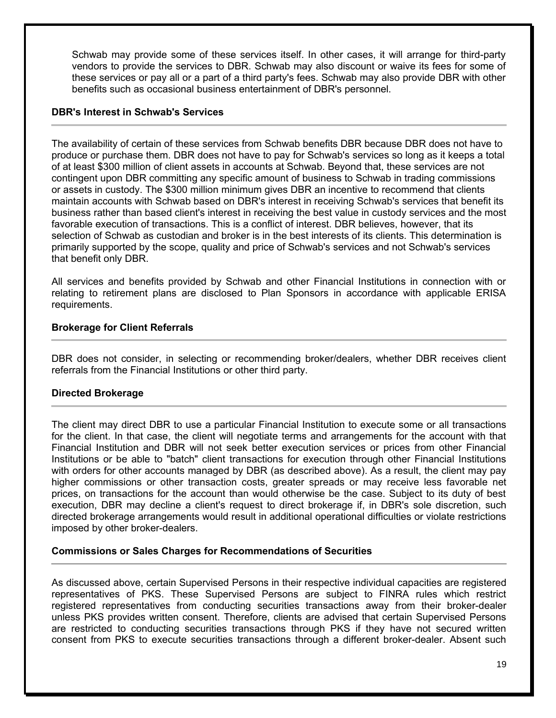Schwab may provide some of these services itself. In other cases, it will arrange for third-party vendors to provide the services to DBR. Schwab may also discount or waive its fees for some of these services or pay all or a part of a third party's fees. Schwab may also provide DBR with other benefits such as occasional business entertainment of DBR's personnel.

#### **DBR's Interest in Schwab's Services**

The availability of certain of these services from Schwab benefits DBR because DBR does not have to produce or purchase them. DBR does not have to pay for Schwab's services so long as it keeps a total of at least \$300 million of client assets in accounts at Schwab. Beyond that, these services are not contingent upon DBR committing any specific amount of business to Schwab in trading commissions or assets in custody. The \$300 million minimum gives DBR an incentive to recommend that clients maintain accounts with Schwab based on DBR's interest in receiving Schwab's services that benefit its business rather than based client's interest in receiving the best value in custody services and the most favorable execution of transactions. This is a conflict of interest. DBR believes, however, that its selection of Schwab as custodian and broker is in the best interests of its clients. This determination is primarily supported by the scope, quality and price of Schwab's services and not Schwab's services that benefit only DBR.

All services and benefits provided by Schwab and other Financial Institutions in connection with or relating to retirement plans are disclosed to Plan Sponsors in accordance with applicable ERISA requirements.

#### **Brokerage for Client Referrals**

DBR does not consider, in selecting or recommending broker/dealers, whether DBR receives client referrals from the Financial Institutions or other third party.

#### **Directed Brokerage**

The client may direct DBR to use a particular Financial Institution to execute some or all transactions for the client. In that case, the client will negotiate terms and arrangements for the account with that Financial Institution and DBR will not seek better execution services or prices from other Financial Institutions or be able to "batch" client transactions for execution through other Financial Institutions with orders for other accounts managed by DBR (as described above). As a result, the client may pay higher commissions or other transaction costs, greater spreads or may receive less favorable net prices, on transactions for the account than would otherwise be the case. Subject to its duty of best execution, DBR may decline a client's request to direct brokerage if, in DBR's sole discretion, such directed brokerage arrangements would result in additional operational difficulties or violate restrictions imposed by other broker-dealers.

#### **Commissions or Sales Charges for Recommendations of Securities**

As discussed above, certain Supervised Persons in their respective individual capacities are registered representatives of PKS. These Supervised Persons are subject to FINRA rules which restrict registered representatives from conducting securities transactions away from their broker-dealer unless PKS provides written consent. Therefore, clients are advised that certain Supervised Persons are restricted to conducting securities transactions through PKS if they have not secured written consent from PKS to execute securities transactions through a different broker-dealer. Absent such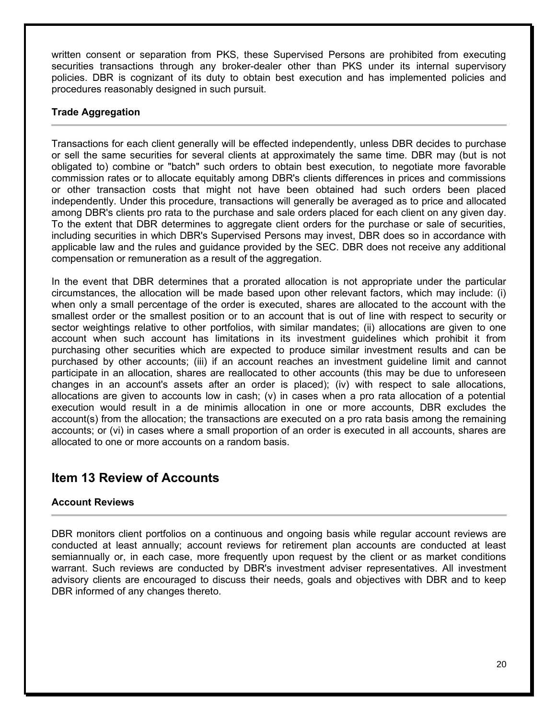written consent or separation from PKS, these Supervised Persons are prohibited from executing securities transactions through any broker-dealer other than PKS under its internal supervisory policies. DBR is cognizant of its duty to obtain best execution and has implemented policies and procedures reasonably designed in such pursuit.

#### **Trade Aggregation**

Transactions for each client generally will be effected independently, unless DBR decides to purchase or sell the same securities for several clients at approximately the same time. DBR may (but is not obligated to) combine or "batch" such orders to obtain best execution, to negotiate more favorable commission rates or to allocate equitably among DBR's clients differences in prices and commissions or other transaction costs that might not have been obtained had such orders been placed independently. Under this procedure, transactions will generally be averaged as to price and allocated among DBR's clients pro rata to the purchase and sale orders placed for each client on any given day. To the extent that DBR determines to aggregate client orders for the purchase or sale of securities, including securities in which DBR's Supervised Persons may invest, DBR does so in accordance with applicable law and the rules and guidance provided by the SEC. DBR does not receive any additional compensation or remuneration as a result of the aggregation.

In the event that DBR determines that a prorated allocation is not appropriate under the particular circumstances, the allocation will be made based upon other relevant factors, which may include: (i) when only a small percentage of the order is executed, shares are allocated to the account with the smallest order or the smallest position or to an account that is out of line with respect to security or sector weightings relative to other portfolios, with similar mandates; (ii) allocations are given to one account when such account has limitations in its investment guidelines which prohibit it from purchasing other securities which are expected to produce similar investment results and can be purchased by other accounts; (iii) if an account reaches an investment guideline limit and cannot participate in an allocation, shares are reallocated to other accounts (this may be due to unforeseen changes in an account's assets after an order is placed); (iv) with respect to sale allocations, allocations are given to accounts low in cash; (v) in cases when a pro rata allocation of a potential execution would result in a de minimis allocation in one or more accounts, DBR excludes the account(s) from the allocation; the transactions are executed on a pro rata basis among the remaining accounts; or (vi) in cases where a small proportion of an order is executed in all accounts, shares are allocated to one or more accounts on a random basis.

# **Item 13 Review of Accounts**

#### **Account Reviews**

DBR monitors client portfolios on a continuous and ongoing basis while regular account reviews are conducted at least annually; account reviews for retirement plan accounts are conducted at least semiannually or, in each case, more frequently upon request by the client or as market conditions warrant. Such reviews are conducted by DBR's investment adviser representatives. All investment advisory clients are encouraged to discuss their needs, goals and objectives with DBR and to keep DBR informed of any changes thereto.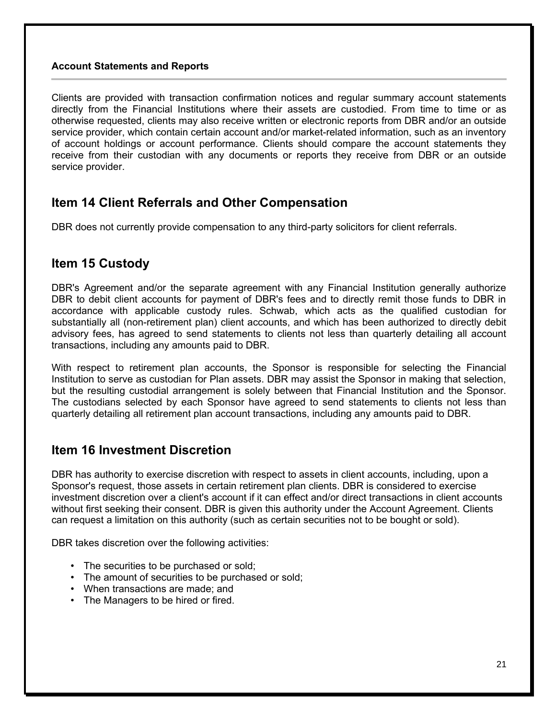#### **Account Statements and Reports**

Clients are provided with transaction confirmation notices and regular summary account statements directly from the Financial Institutions where their assets are custodied. From time to time or as otherwise requested, clients may also receive written or electronic reports from DBR and/or an outside service provider, which contain certain account and/or market-related information, such as an inventory of account holdings or account performance. Clients should compare the account statements they receive from their custodian with any documents or reports they receive from DBR or an outside service provider.

# **Item 14 Client Referrals and Other Compensation**

DBR does not currently provide compensation to any third-party solicitors for client referrals.

### **Item 15 Custody**

DBR's Agreement and/or the separate agreement with any Financial Institution generally authorize DBR to debit client accounts for payment of DBR's fees and to directly remit those funds to DBR in accordance with applicable custody rules. Schwab, which acts as the qualified custodian for substantially all (non-retirement plan) client accounts, and which has been authorized to directly debit advisory fees, has agreed to send statements to clients not less than quarterly detailing all account transactions, including any amounts paid to DBR.

With respect to retirement plan accounts, the Sponsor is responsible for selecting the Financial Institution to serve as custodian for Plan assets. DBR may assist the Sponsor in making that selection, but the resulting custodial arrangement is solely between that Financial Institution and the Sponsor. The custodians selected by each Sponsor have agreed to send statements to clients not less than quarterly detailing all retirement plan account transactions, including any amounts paid to DBR.

# **Item 16 Investment Discretion**

DBR has authority to exercise discretion with respect to assets in client accounts, including, upon a Sponsor's request, those assets in certain retirement plan clients. DBR is considered to exercise investment discretion over a client's account if it can effect and/or direct transactions in client accounts without first seeking their consent. DBR is given this authority under the Account Agreement. Clients can request a limitation on this authority (such as certain securities not to be bought or sold).

DBR takes discretion over the following activities:

- The securities to be purchased or sold;
- The amount of securities to be purchased or sold;
- When transactions are made; and
- The Managers to be hired or fired.